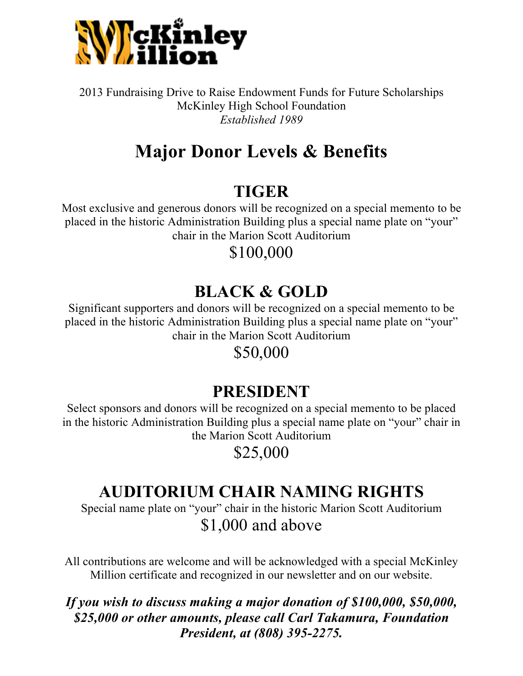

2013 Fundraising Drive to Raise Endowment Funds for Future Scholarships McKinley High School Foundation *Established 1989*

# **Major Donor Levels & Benefits**

### **TIGER**

Most exclusive and generous donors will be recognized on a special memento to be placed in the historic Administration Building plus a special name plate on "your" chair in the Marion Scott Auditorium

#### \$100,000

## **BLACK & GOLD**

Significant supporters and donors will be recognized on a special memento to be placed in the historic Administration Building plus a special name plate on "your" chair in the Marion Scott Auditorium

#### \$50,000

### **PRESIDENT**

Select sponsors and donors will be recognized on a special memento to be placed in the historic Administration Building plus a special name plate on "your" chair in the Marion Scott Auditorium

\$25,000

### **AUDITORIUM CHAIR NAMING RIGHTS**

Special name plate on "your" chair in the historic Marion Scott Auditorium \$1,000 and above

All contributions are welcome and will be acknowledged with a special McKinley Million certificate and recognized in our newsletter and on our website.

#### *If you wish to discuss making a major donation of \$100,000, \$50,000, \$25,000 or other amounts, please call Carl Takamura, Foundation President, at (808) 395-2275.*